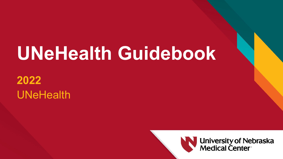# **UNeHealth Guidebook**

#### **2022** UNeHealth



**University of Nebraska<br>Medical Center**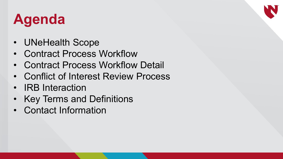### **Agenda**

- UNeHealth Scope
- Contract Process Workflow
- Contract Process Workflow Detail
- Conflict of Interest Review Process
- IRB Interaction
- Key Terms and Definitions
- Contact Information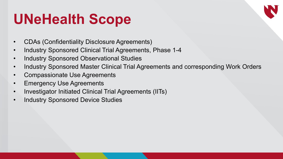#### **UNeHealth Scope**

- CDAs (Confidentiality Disclosure Agreements)
- Industry Sponsored Clinical Trial Agreements, Phase 1-4
- Industry Sponsored Observational Studies
- Industry Sponsored Master Clinical Trial Agreements and corresponding Work Orders
- Compassionate Use Agreements
- Emergency Use Agreements
- Investigator Initiated Clinical Trial Agreements (IITs)
- Industry Sponsored Device Studies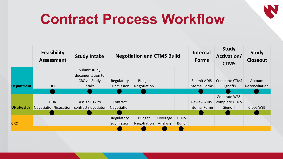#### **Contract Process Workflow**

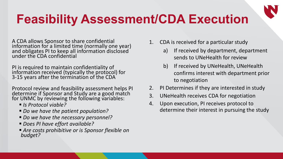#### **Feasibility Assessment/CDA Execution**

A CDA allows Sponsor to share confidential information for a limited time (normally one year) and obligates PI to keep all information disclosed under the CDA confidential

PI is required to maintain confidentiality of information received (typically the protocol) for 3-15 years after the termination of the CDA

Protocol review and feasibility assessment helps PI determine if Sponsor and Study are a good match for UNMC by reviewing the following variables:

- *Is Protocol viable?*
- *Do we have the patient population?*
- *Do we have the necessary personnel?*
- *Does PI have effort available?*
- *Are costs prohibitive or is Sponsor flexible on budget?*
- 1. CDA is received for a particular study
	- a) If received by department, department sends to UNeHealth for review
	- b) If received by UNeHealth, UNeHealth confirms interest with department prior to negotiation
- 2. PI Determines if they are interested in study
- 3. UNeHealth receives CDA for negotiation
- 4. Upon execution, PI receives protocol to determine their interest in pursuing the study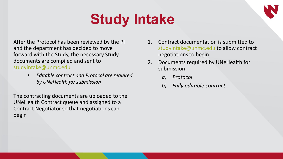### **Study Intake**

After the Protocol has been reviewed by the PI and the department has decided to move forward with the Study, the necessary Study documents are compiled and sent to [studyintake@unmc.edu](mailto:studyintake@unmc.edu)

> • *Editable contract and Protocol are required by UNeHealth for submission*

The contracting documents are uploaded to the UNeHealth Contract queue and assigned to a Contract Negotiator so that negotiations can begin

- 1. Contract documentation is submitted to [studyintake@unmc.edu](mailto:studyintake@unmc.edu) to allow contract negotiations to begin
- 2. Documents required by UNeHealth for submission:
	- *a) Protocol*
	- *b) Fully editable contract*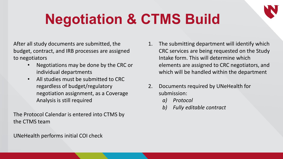### **Negotiation & CTMS Build**

After all study documents are submitted, the budget, contract, and IRB processes are assigned to negotiators

- Negotiations may be done by the CRC or individual departments
- All studies must be submitted to CRC regardless of budget/regulatory negotiation assignment, as a Coverage Analysis is still required

The Protocol Calendar is entered into CTMS by the CTMS team

UNeHealth performs initial COI check

- 1. The submitting department will identify which CRC services are being requested on the Study Intake form. This will determine which elements are assigned to CRC negotiators, and which will be handled within the department
- 2. Documents required by UNeHealth for submission:
	- *a) Protocol*
	- *b) Fully editable contract*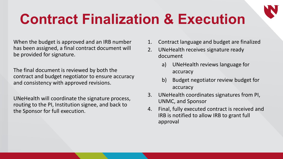### **Contract Finalization & Execution**

When the budget is approved and an IRB number has been assigned, a final contract document will be provided for signature.

The final document is reviewed by both the contract and budget negotiator to ensure accuracy and consistency with approved revisions.

UNeHealth will coordinate the signature process, routing to the PI, Institution signee, and back to the Sponsor for full execution.

- 1. Contract language and budget are finalized
- 2. UNeHealth receives signature ready document
	- a) UNeHealth reviews language for accuracy
	- b) Budget negotiator review budget for accuracy
- 3. UNeHealth coordinates signatures from PI, UNMC, and Sponsor
- 4. Final, fully executed contract is received and IRB is notified to allow IRB to grant full approval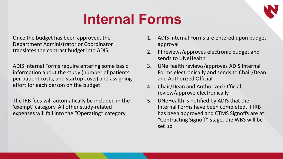#### **Internal Forms**

Once the budget has been approved, the Department Administrator or Coordinator translates the contract budget into ADIS

ADIS Internal Forms require entering some basic information about the study (number of patients, per patient costs, and startup costs) and assigning effort for each person on the budget

The IRB fees will automatically be included in the 'exempt' category. All other study-related expenses will fall into the "Operating" category

- 1. ADIS Internal Forms are entered upon budget approval
- 2. PI reviews/approves electronic budget and sends to UNeHealth
- 3. UNeHealth reviews/approves ADIS Internal Forms electronically and sends to Chair/Dean and Authorized Official
- 4. Chair/Dean and Authorized Official review/approve electronically
- 5. UNeHealth is notified by ADIS that the Internal Forms have been completed. If IRB has been approved and CTMS Signoffs are at "Contracting Signoff" stage, the WBS will be set up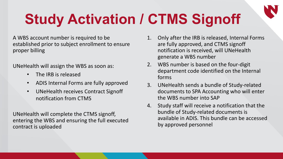## **Study Activation / CTMS Signoff**

A WBS account number is required to be established prior to subject enrollment to ensure proper billing

UNeHealth will assign the WBS as soon as:

- The IRB is released
- ADIS Internal Forms are fully approved
- UNeHealth receives Contract Signoff notification from CTMS

UNeHealth will complete the CTMS signoff, entering the WBS and ensuring the full executed contract is uploaded

- 1. Only after the IRB is released, Internal Forms are fully approved, and CTMS signoff notification is received, will UNeHealth generate a WBS number
- 2. WBS number is based on the four-digit department code identified on the Internal forms
- 3. UNeHealth sends a bundle of Study-related documents to SPA Accounting who will enter the WBS number into SAP
- 4. Study staff will receive a notification that the bundle of Study-related documents is available in ADIS. This bundle can be accessed by approved personnel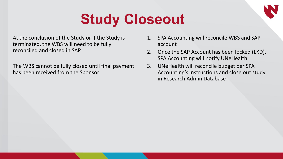### **Study Closeout**

At the conclusion of the Study or if the Study is terminated, the WBS will need to be fully reconciled and closed in SAP

The WBS cannot be fully closed until final payment has been received from the Sponsor

- 1. SPA Accounting will reconcile WBS and SAP account
- 2. Once the SAP Account has been locked (LKD), SPA Accounting will notify UNeHealth
- 3. UNeHealth will reconcile budget per SPA Accounting's instructions and close out study in Research Admin Database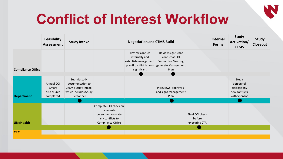### **Conflict of Interest Workflow**

|                          | Feasibility<br><b>Assessment</b>                | <b>Study Intake</b>                                                                            | <b>Negotiation and CTMS Build</b>                                                                   |                                                                                                      |                                                                                            |                                            | Internal<br><b>Forms</b> | <b>Study</b><br>Activation/<br><b>CTMS</b>                          | <b>Study</b><br><b>Closeout</b> |
|--------------------------|-------------------------------------------------|------------------------------------------------------------------------------------------------|-----------------------------------------------------------------------------------------------------|------------------------------------------------------------------------------------------------------|--------------------------------------------------------------------------------------------|--------------------------------------------|--------------------------|---------------------------------------------------------------------|---------------------------------|
| <b>Compliance Office</b> |                                                 |                                                                                                |                                                                                                     | Review conflict<br>internally and<br>establish management<br>plan if conflict is non-<br>significant | Review significant<br>conflict at COI<br>Committee Meeting,<br>generate Management<br>Plan |                                            |                          |                                                                     |                                 |
| <b>Department</b>        | Annual COI<br>Smart<br>disclosures<br>completed | Submit study<br>documentation to<br>CRC via Study Intake,<br>which includes Study<br>Personnel |                                                                                                     |                                                                                                      | PI reviews, approves,<br>and signs Management<br>Plan                                      |                                            |                          | Study<br>personnel<br>disclose any<br>new conflicts<br>with Sponsor |                                 |
| <b>UNeHealth</b>         |                                                 |                                                                                                | Complete COI check on<br>documented<br>personnel, escalate<br>any conflicts to<br>Compliance Office |                                                                                                      |                                                                                            | Final COI check<br>before<br>executing CTA |                          |                                                                     |                                 |
| <b>CRC</b>               |                                                 |                                                                                                |                                                                                                     |                                                                                                      |                                                                                            |                                            |                          |                                                                     |                                 |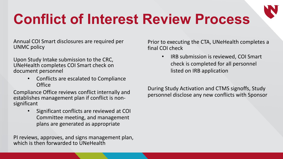### **Conflict of Interest Review Process**

Annual COI Smart disclosures are required per UNMC policy

Upon Study Intake submission to the CRC, UNeHealth completes COI Smart check on document personnel

> • Conflicts are escalated to Compliance **Office**

Compliance Office reviews conflict internally and establishes management plan if conflict is non- significant

> • Significant conflicts are reviewed at COI Committee meeting, and management plans are generated as appropriate

PI reviews, approves, and signs management plan, which is then forwarded to UNeHealth

Prior to executing the CTA, UNeHealth completes a final COI check

> • IRB submission is reviewed, COI Smart check is completed for all personnel listed on IRB application

During Study Activation and CTMS signoffs, Study personnel disclose any new conflicts with Sponsor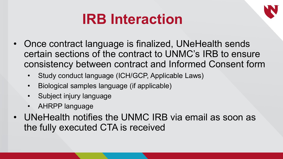#### **IRB Interaction**

- Once contract language is finalized, UNeHealth sends certain sections of the contract to UNMC's IRB to ensure consistency between contract and Informed Consent form
	- Study conduct language (ICH/GCP, Applicable Laws)
	- Biological samples language (if applicable)
	- Subject injury language
	- AHRPP language
- UNeHealth notifies the UNMC IRB via email as soon as the fully executed CTA is received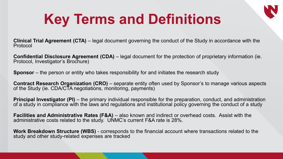### **Key Terms and Definitions**

**Clinical Trial Agreement (CTA)** – legal document governing the conduct of the Study in accordance with the Protocol

**Confidential Disclosure Agreement (CDA)** – legal document for the protection of proprietary information (ie.<br>Protocol, Investigator's Brochure)

**Sponsor** – the person or entity who takes responsibility for and initiates the research study

**Contract Research Organization (CRO)** – separate entity often used by Sponsor's to manage various aspects of the Study (ie. CDA/CTA negotiations, monitoring, payments)

**Principal Investigator (PI)** – the primary individual responsible for the preparation, conduct, and administration of a study in compliance with the laws and regulations and institutional policy governing the conduct of a study

**Facilities and Administrative Rates (F&A)** – also known and indirect or overhead costs. Assist with the administrative costs related to the study. UNMC's current F&A rate is 28%.

**Work Breakdown Structure (WBS)** - corresponds to the financial account where transactions related to the study and other study-related expenses are tracked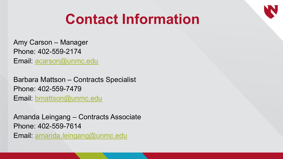#### **Contact Information**

Amy Carson – Manager Phone: 402-559-2174 Email: [acarson@unmc.edu](mailto:acarson@unmc.edu)

Barbara Mattson – Contracts Specialist Phone: 402-559-7479 Email: [bmattson@unmc.edu](mailto:bmattson@unmc.edu)

Amanda Leingang – Contracts Associate Phone: 402-559-7614 Email: [amanda.leingang@unmc.edu](mailto:amanda.leingang@unmc.edu)